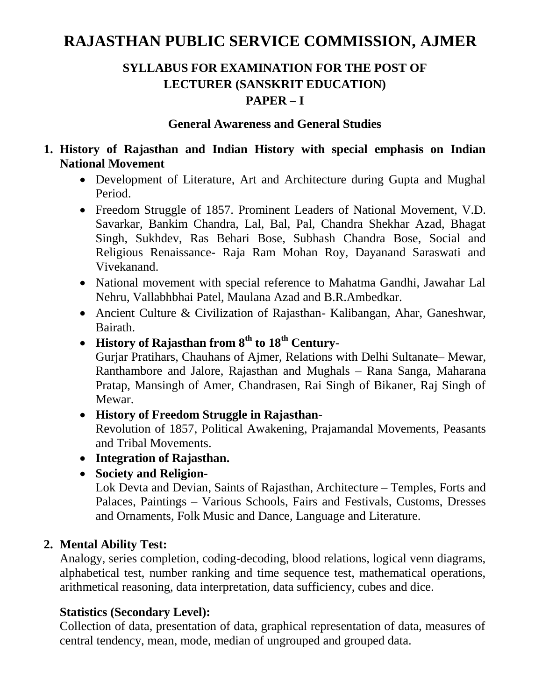# **RAJASTHAN PUBLIC SERVICE COMMISSION, AJMER**

# **SYLLABUS FOR EXAMINATION FOR THE POST OF LECTURER (SANSKRIT EDUCATION) PAPER – I**

#### **General Awareness and General Studies**

#### **1. History of Rajasthan and Indian History with special emphasis on Indian National Movement**

- Development of Literature, Art and Architecture during Gupta and Mughal Period.
- Freedom Struggle of 1857. Prominent Leaders of National Movement, V.D. Savarkar, Bankim Chandra, Lal, Bal, Pal, Chandra Shekhar Azad, Bhagat Singh, Sukhdev, Ras Behari Bose, Subhash Chandra Bose, Social and Religious Renaissance- Raja Ram Mohan Roy, Dayanand Saraswati and Vivekanand.
- National movement with special reference to Mahatma Gandhi, Jawahar Lal Nehru, Vallabhbhai Patel, Maulana Azad and B.R.Ambedkar.
- Ancient Culture & Civilization of Rajasthan- Kalibangan, Ahar, Ganeshwar, Bairath.
- **History of Rajasthan from 8th to 18th Century-**

Gurjar Pratihars, Chauhans of Ajmer, Relations with Delhi Sultanate– Mewar, Ranthambore and Jalore, Rajasthan and Mughals – Rana Sanga, Maharana Pratap, Mansingh of Amer, Chandrasen, Rai Singh of Bikaner, Raj Singh of Mewar.

**History of Freedom Struggle in Rajasthan-**

Revolution of 1857, Political Awakening, Prajamandal Movements, Peasants and Tribal Movements.

- **Integration of Rajasthan.**
- **Society and Religion-**

Lok Devta and Devian, Saints of Rajasthan, Architecture – Temples, Forts and Palaces, Paintings – Various Schools, Fairs and Festivals, Customs, Dresses and Ornaments, Folk Music and Dance, Language and Literature.

#### **2. Mental Ability Test:**

Analogy, series completion, coding-decoding, blood relations, logical venn diagrams, alphabetical test, number ranking and time sequence test, mathematical operations, arithmetical reasoning, data interpretation, data sufficiency, cubes and dice.

# **Statistics (Secondary Level):**

Collection of data, presentation of data, graphical representation of data, measures of central tendency, mean, mode, median of ungrouped and grouped data.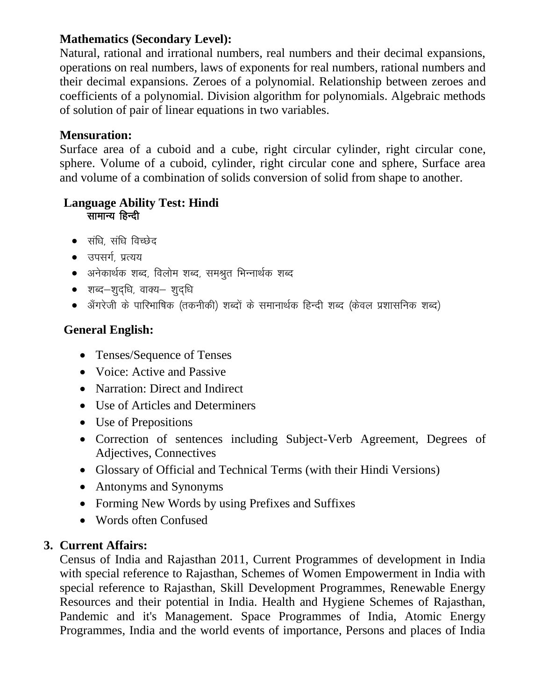# **Mathematics (Secondary Level):**

Natural, rational and irrational numbers, real numbers and their decimal expansions, operations on real numbers, laws of exponents for real numbers, rational numbers and their decimal expansions. Zeroes of a polynomial. Relationship between zeroes and coefficients of a polynomial. Division algorithm for polynomials. Algebraic methods of solution of pair of linear equations in two variables.

# **Mensuration:**

Surface area of a cuboid and a cube, right circular cylinder, right circular cone, sphere. Volume of a cuboid, cylinder, right circular cone and sphere, Surface area and volume of a combination of solids conversion of solid from shape to another.

#### **Language Ability Test: Hindi**  सामान्य हिन्दी

- $\bullet$  संधि, संधि विच्छेद
- उपसर्ग, प्रत्यय
- $\bullet$  अनेकार्थक शब्द, विलोम शब्द, समश्रुत भिन्नार्थक शब्द
- $\bullet$  शब्द-शुदधि, वाक्य- शुदधि
- $\bullet$  ॲंगरेजी के पारिभाषिक (तकनीकी) शब्दों के समानार्थक हिन्दी शब्द (केवल प्रशासनिक शब्द)

# **General English:**

- Tenses/Sequence of Tenses
- Voice: Active and Passive
- Narration: Direct and Indirect
- Use of Articles and Determiners
- Use of Prepositions
- Correction of sentences including Subject-Verb Agreement, Degrees of Adjectives, Connectives
- Glossary of Official and Technical Terms (with their Hindi Versions)
- Antonyms and Synonyms
- Forming New Words by using Prefixes and Suffixes
- Words often Confused

# **3. Current Affairs:**

Census of India and Rajasthan 2011, Current Programmes of development in India with special reference to Rajasthan, Schemes of Women Empowerment in India with special reference to Rajasthan, Skill Development Programmes, Renewable Energy Resources and their potential in India. Health and Hygiene Schemes of Rajasthan, Pandemic and it's Management. Space Programmes of India, Atomic Energy Programmes, India and the world events of importance, Persons and places of India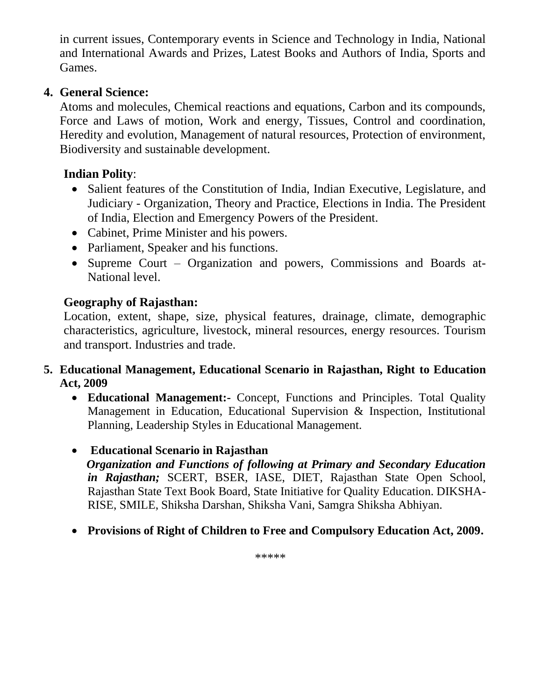in current issues, Contemporary events in Science and Technology in India, National and International Awards and Prizes, Latest Books and Authors of India, Sports and Games.

# **4. General Science:**

Atoms and molecules, Chemical reactions and equations, Carbon and its compounds, Force and Laws of motion, Work and energy, Tissues, Control and coordination, Heredity and evolution, Management of natural resources, Protection of environment, Biodiversity and sustainable development.

## **Indian Polity**:

- Salient features of the Constitution of India, Indian Executive, Legislature, and Judiciary - Organization, Theory and Practice, Elections in India. The President of India, Election and Emergency Powers of the President.
- Cabinet, Prime Minister and his powers.
- Parliament, Speaker and his functions.
- Supreme Court Organization and powers, Commissions and Boards at-National level.

## **Geography of Rajasthan:**

Location, extent, shape, size, physical features, drainage, climate, demographic characteristics, agriculture, livestock, mineral resources, energy resources. Tourism and transport. Industries and trade.

#### **5. Educational Management, Educational Scenario in Rajasthan, Right to Education Act, 2009**

 **Educational Management:-** Concept, Functions and Principles. Total Quality Management in Education, Educational Supervision & Inspection, Institutional Planning, Leadership Styles in Educational Management.

#### **Educational Scenario in Rajasthan**

- *Organization and Functions of following at Primary and Secondary Education in Rajasthan;* SCERT, BSER, IASE, DIET, Rajasthan State Open School, Rajasthan State Text Book Board, State Initiative for Quality Education. DIKSHA-RISE, SMILE, Shiksha Darshan, Shiksha Vani, Samgra Shiksha Abhiyan.
- **Provisions of Right of Children to Free and Compulsory Education Act, 2009.**

\*\*\*\*\*